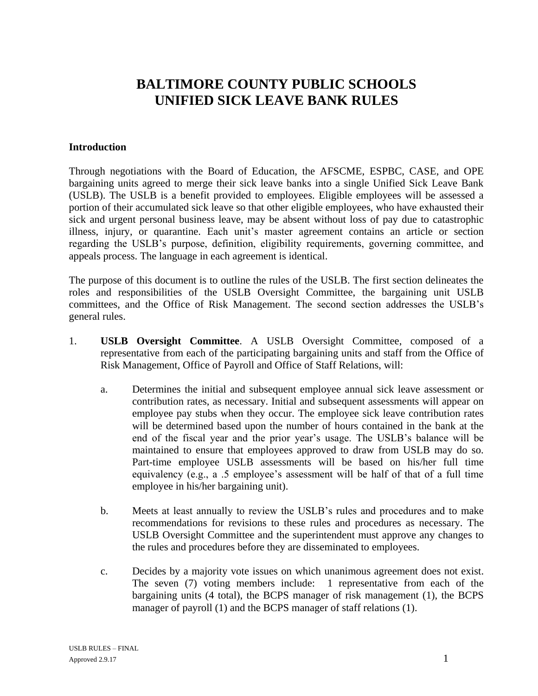## **BALTIMORE COUNTY PUBLIC SCHOOLS UNIFIED SICK LEAVE BANK RULES**

## **Introduction**

Through negotiations with the Board of Education, the AFSCME, ESPBC, CASE, and OPE bargaining units agreed to merge their sick leave banks into a single Unified Sick Leave Bank (USLB). The USLB is a benefit provided to employees. Eligible employees will be assessed a portion of their accumulated sick leave so that other eligible employees, who have exhausted their sick and urgent personal business leave, may be absent without loss of pay due to catastrophic illness, injury, or quarantine. Each unit's master agreement contains an article or section regarding the USLB's purpose, definition, eligibility requirements, governing committee, and appeals process. The language in each agreement is identical.

The purpose of this document is to outline the rules of the USLB. The first section delineates the roles and responsibilities of the USLB Oversight Committee, the bargaining unit USLB committees, and the Office of Risk Management. The second section addresses the USLB's general rules.

- 1. **USLB Oversight Committee**. A USLB Oversight Committee, composed of a representative from each of the participating bargaining units and staff from the Office of Risk Management, Office of Payroll and Office of Staff Relations, will:
	- a. Determines the initial and subsequent employee annual sick leave assessment or contribution rates, as necessary. Initial and subsequent assessments will appear on employee pay stubs when they occur. The employee sick leave contribution rates will be determined based upon the number of hours contained in the bank at the end of the fiscal year and the prior year's usage. The USLB's balance will be maintained to ensure that employees approved to draw from USLB may do so. Part-time employee USLB assessments will be based on his/her full time equivalency (e.g., a .5 employee's assessment will be half of that of a full time employee in his/her bargaining unit).
	- b. Meets at least annually to review the USLB's rules and procedures and to make recommendations for revisions to these rules and procedures as necessary. The USLB Oversight Committee and the superintendent must approve any changes to the rules and procedures before they are disseminated to employees.
	- c. Decides by a majority vote issues on which unanimous agreement does not exist. The seven (7) voting members include: 1 representative from each of the bargaining units (4 total), the BCPS manager of risk management (1), the BCPS manager of payroll (1) and the BCPS manager of staff relations (1).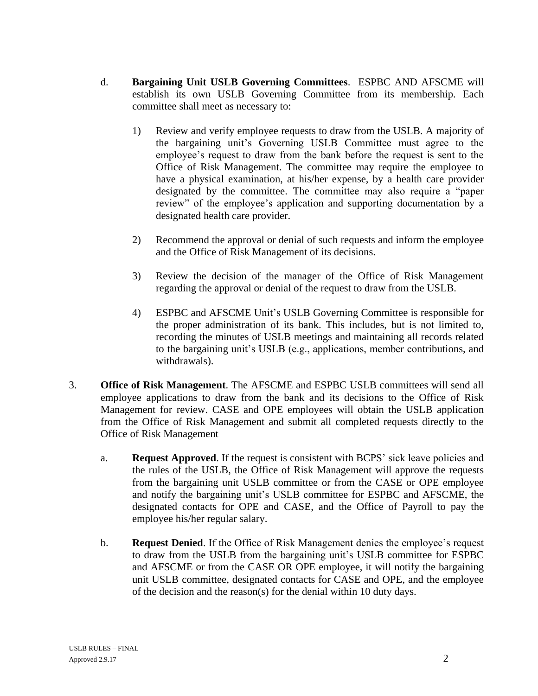- d. **Bargaining Unit USLB Governing Committees**. ESPBC AND AFSCME will establish its own USLB Governing Committee from its membership. Each committee shall meet as necessary to:
	- 1) Review and verify employee requests to draw from the USLB. A majority of the bargaining unit's Governing USLB Committee must agree to the employee's request to draw from the bank before the request is sent to the Office of Risk Management. The committee may require the employee to have a physical examination, at his/her expense, by a health care provider designated by the committee. The committee may also require a "paper review" of the employee's application and supporting documentation by a designated health care provider.
	- 2) Recommend the approval or denial of such requests and inform the employee and the Office of Risk Management of its decisions.
	- 3) Review the decision of the manager of the Office of Risk Management regarding the approval or denial of the request to draw from the USLB.
	- 4) ESPBC and AFSCME Unit's USLB Governing Committee is responsible for the proper administration of its bank. This includes, but is not limited to, recording the minutes of USLB meetings and maintaining all records related to the bargaining unit's USLB (e.g., applications, member contributions, and withdrawals).
- 3. **Office of Risk Management**. The AFSCME and ESPBC USLB committees will send all employee applications to draw from the bank and its decisions to the Office of Risk Management for review. CASE and OPE employees will obtain the USLB application from the Office of Risk Management and submit all completed requests directly to the Office of Risk Management
	- a. **Request Approved**. If the request is consistent with BCPS' sick leave policies and the rules of the USLB, the Office of Risk Management will approve the requests from the bargaining unit USLB committee or from the CASE or OPE employee and notify the bargaining unit's USLB committee for ESPBC and AFSCME, the designated contacts for OPE and CASE, and the Office of Payroll to pay the employee his/her regular salary.
	- b. **Request Denied**. If the Office of Risk Management denies the employee's request to draw from the USLB from the bargaining unit's USLB committee for ESPBC and AFSCME or from the CASE OR OPE employee, it will notify the bargaining unit USLB committee, designated contacts for CASE and OPE, and the employee of the decision and the reason(s) for the denial within 10 duty days.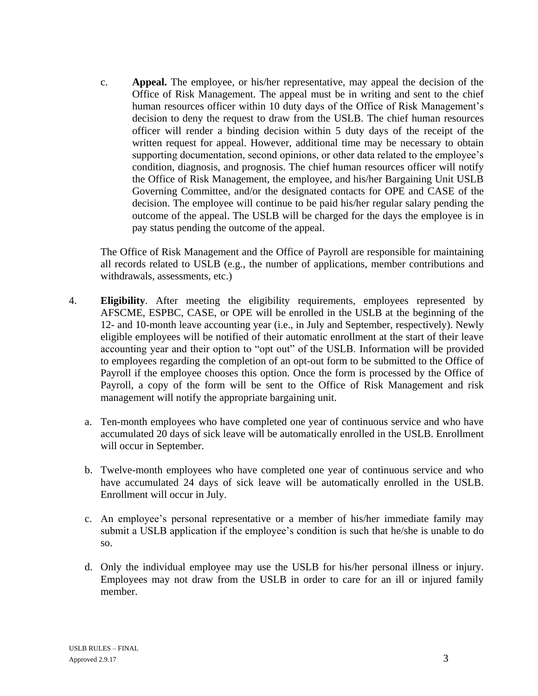c. **Appeal.** The employee, or his/her representative, may appeal the decision of the Office of Risk Management. The appeal must be in writing and sent to the chief human resources officer within 10 duty days of the Office of Risk Management's decision to deny the request to draw from the USLB. The chief human resources officer will render a binding decision within 5 duty days of the receipt of the written request for appeal. However, additional time may be necessary to obtain supporting documentation, second opinions, or other data related to the employee's condition, diagnosis, and prognosis. The chief human resources officer will notify the Office of Risk Management, the employee, and his/her Bargaining Unit USLB Governing Committee, and/or the designated contacts for OPE and CASE of the decision. The employee will continue to be paid his/her regular salary pending the outcome of the appeal. The USLB will be charged for the days the employee is in pay status pending the outcome of the appeal.

The Office of Risk Management and the Office of Payroll are responsible for maintaining all records related to USLB (e.g., the number of applications, member contributions and withdrawals, assessments, etc.)

- 4. **Eligibility**. After meeting the eligibility requirements, employees represented by AFSCME, ESPBC, CASE, or OPE will be enrolled in the USLB at the beginning of the 12- and 10-month leave accounting year (i.e., in July and September, respectively). Newly eligible employees will be notified of their automatic enrollment at the start of their leave accounting year and their option to "opt out" of the USLB. Information will be provided to employees regarding the completion of an opt-out form to be submitted to the Office of Payroll if the employee chooses this option. Once the form is processed by the Office of Payroll, a copy of the form will be sent to the Office of Risk Management and risk management will notify the appropriate bargaining unit.
	- a. Ten-month employees who have completed one year of continuous service and who have accumulated 20 days of sick leave will be automatically enrolled in the USLB. Enrollment will occur in September.
	- b. Twelve-month employees who have completed one year of continuous service and who have accumulated 24 days of sick leave will be automatically enrolled in the USLB. Enrollment will occur in July.
	- c. An employee's personal representative or a member of his/her immediate family may submit a USLB application if the employee's condition is such that he/she is unable to do so.
	- d. Only the individual employee may use the USLB for his/her personal illness or injury. Employees may not draw from the USLB in order to care for an ill or injured family member.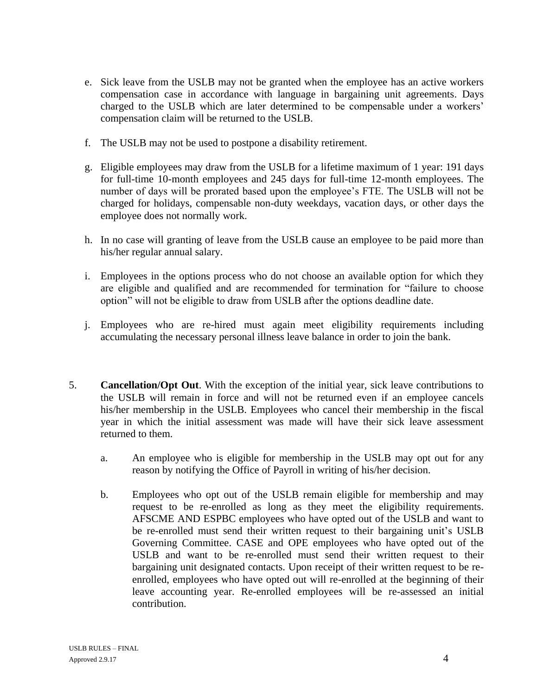- e. Sick leave from the USLB may not be granted when the employee has an active workers compensation case in accordance with language in bargaining unit agreements. Days charged to the USLB which are later determined to be compensable under a workers' compensation claim will be returned to the USLB.
- f. The USLB may not be used to postpone a disability retirement.
- g. Eligible employees may draw from the USLB for a lifetime maximum of 1 year: 191 days for full-time 10-month employees and 245 days for full-time 12-month employees. The number of days will be prorated based upon the employee's FTE. The USLB will not be charged for holidays, compensable non-duty weekdays, vacation days, or other days the employee does not normally work.
- h. In no case will granting of leave from the USLB cause an employee to be paid more than his/her regular annual salary.
- i. Employees in the options process who do not choose an available option for which they are eligible and qualified and are recommended for termination for "failure to choose option" will not be eligible to draw from USLB after the options deadline date.
- j. Employees who are re-hired must again meet eligibility requirements including accumulating the necessary personal illness leave balance in order to join the bank.
- 5. **Cancellation/Opt Out**. With the exception of the initial year, sick leave contributions to the USLB will remain in force and will not be returned even if an employee cancels his/her membership in the USLB. Employees who cancel their membership in the fiscal year in which the initial assessment was made will have their sick leave assessment returned to them.
	- a. An employee who is eligible for membership in the USLB may opt out for any reason by notifying the Office of Payroll in writing of his/her decision.
	- b. Employees who opt out of the USLB remain eligible for membership and may request to be re-enrolled as long as they meet the eligibility requirements. AFSCME AND ESPBC employees who have opted out of the USLB and want to be re-enrolled must send their written request to their bargaining unit's USLB Governing Committee. CASE and OPE employees who have opted out of the USLB and want to be re-enrolled must send their written request to their bargaining unit designated contacts. Upon receipt of their written request to be reenrolled, employees who have opted out will re-enrolled at the beginning of their leave accounting year. Re-enrolled employees will be re-assessed an initial contribution.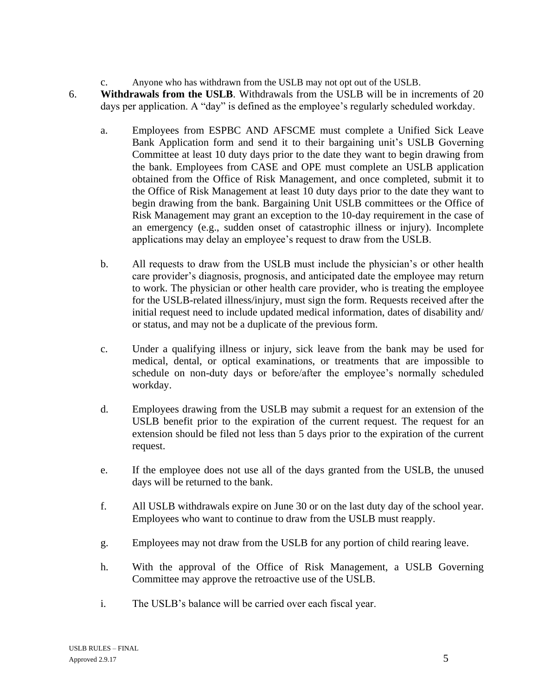c. Anyone who has withdrawn from the USLB may not opt out of the USLB.

- 6. **Withdrawals from the USLB**. Withdrawals from the USLB will be in increments of 20 days per application. A "day" is defined as the employee's regularly scheduled workday.
	- a. Employees from ESPBC AND AFSCME must complete a Unified Sick Leave Bank Application form and send it to their bargaining unit's USLB Governing Committee at least 10 duty days prior to the date they want to begin drawing from the bank. Employees from CASE and OPE must complete an USLB application obtained from the Office of Risk Management, and once completed, submit it to the Office of Risk Management at least 10 duty days prior to the date they want to begin drawing from the bank. Bargaining Unit USLB committees or the Office of Risk Management may grant an exception to the 10-day requirement in the case of an emergency (e.g., sudden onset of catastrophic illness or injury). Incomplete applications may delay an employee's request to draw from the USLB.
	- b. All requests to draw from the USLB must include the physician's or other health care provider's diagnosis, prognosis, and anticipated date the employee may return to work. The physician or other health care provider, who is treating the employee for the USLB-related illness/injury, must sign the form. Requests received after the initial request need to include updated medical information, dates of disability and/ or status, and may not be a duplicate of the previous form.
	- c. Under a qualifying illness or injury, sick leave from the bank may be used for medical, dental, or optical examinations, or treatments that are impossible to schedule on non-duty days or before/after the employee's normally scheduled workday.
	- d. Employees drawing from the USLB may submit a request for an extension of the USLB benefit prior to the expiration of the current request. The request for an extension should be filed not less than 5 days prior to the expiration of the current request.
	- e. If the employee does not use all of the days granted from the USLB, the unused days will be returned to the bank.
	- f. All USLB withdrawals expire on June 30 or on the last duty day of the school year. Employees who want to continue to draw from the USLB must reapply.
	- g. Employees may not draw from the USLB for any portion of child rearing leave.
	- h. With the approval of the Office of Risk Management, a USLB Governing Committee may approve the retroactive use of the USLB.
	- i. The USLB's balance will be carried over each fiscal year.